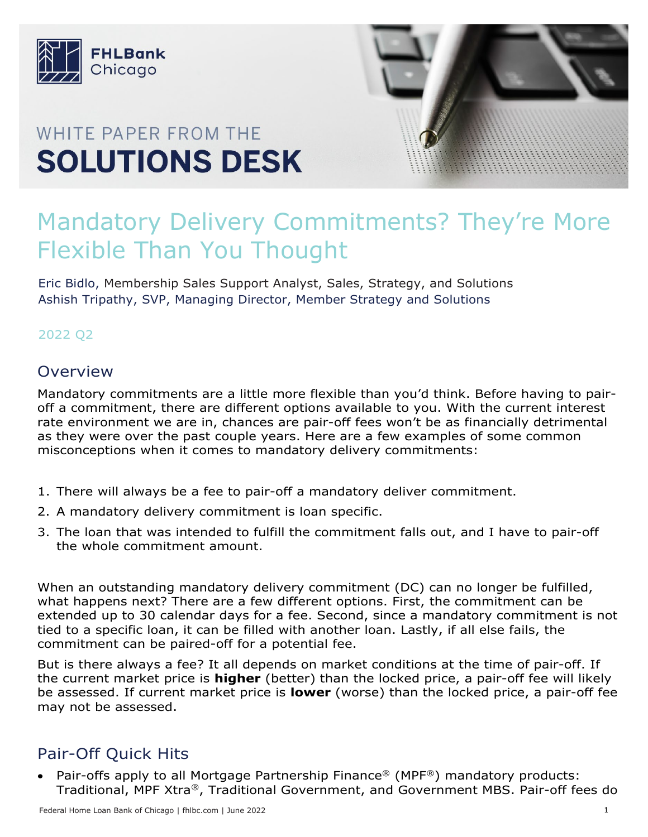

# WHITE PAPER FROM THE **SOLUTIONS DESK**



# Mandatory Delivery Commitments? They're More Flexible Than You Thought

Eric Bidlo, Membership Sales Support Analyst, Sales, Strategy, and Solutions Ashish Tripathy, SVP, Managing Director, Member Strategy and Solutions

### 2022 Q2

### **Overview**

Mandatory commitments are a little more flexible than you'd think. Before having to pairoff a commitment, there are different options available to you. With the current interest rate environment we are in, chances are pair-off fees won't be as financially detrimental as they were over the past couple years. Here are a few examples of some common misconceptions when it comes to mandatory delivery commitments:

- 1. There will always be a fee to pair-off a mandatory deliver commitment.
- 2. A mandatory delivery commitment is loan specific.
- 3. The loan that was intended to fulfill the commitment falls out, and I have to pair-off the whole commitment amount.

When an outstanding mandatory delivery commitment (DC) can no longer be fulfilled, what happens next? There are a few different options. First, the commitment can be extended up to 30 calendar days for a fee. Second, since a mandatory commitment is not tied to a specific loan, it can be filled with another loan. Lastly, if all else fails, the commitment can be paired-off for a potential fee.

But is there always a fee? It all depends on market conditions at the time of pair-off. If the current market price is **higher** (better) than the locked price, a pair-off fee will likely be assessed. If current market price is **lower** (worse) than the locked price, a pair-off fee may not be assessed.

# Pair-Off Quick Hits

• Pair-offs apply to all Mortgage Partnership Finance® (MPF®) mandatory products: Traditional, MPF Xtra®, Traditional Government, and Government MBS. Pair-off fees do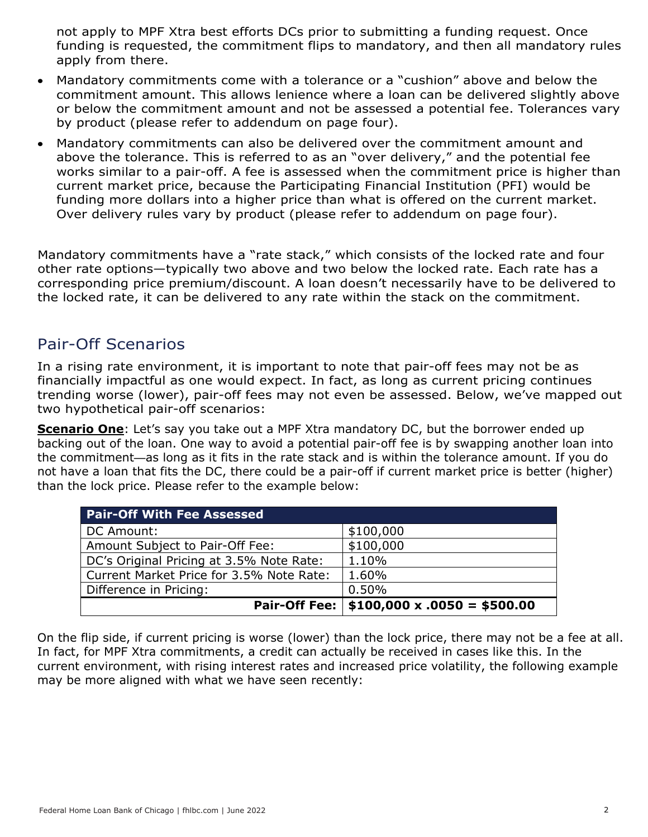not apply to MPF Xtra best efforts DCs prior to submitting a funding request. Once funding is requested, the commitment flips to mandatory, and then all mandatory rules apply from there.

- Mandatory commitments come with a tolerance or a "cushion" above and below the commitment amount. This allows lenience where a loan can be delivered slightly above or below the commitment amount and not be assessed a potential fee. Tolerances vary by product (please refer to addendum on page four).
- Mandatory commitments can also be delivered over the commitment amount and above the tolerance. This is referred to as an "over delivery," and the potential fee works similar to a pair-off. A fee is assessed when the commitment price is higher than current market price, because the Participating Financial Institution (PFI) would be funding more dollars into a higher price than what is offered on the current market. Over delivery rules vary by product (please refer to addendum on page four).

Mandatory commitments have a "rate stack," which consists of the locked rate and four other rate options—typically two above and two below the locked rate. Each rate has a corresponding price premium/discount. A loan doesn't necessarily have to be delivered to the locked rate, it can be delivered to any rate within the stack on the commitment.

## Pair-Off Scenarios

In a rising rate environment, it is important to note that pair-off fees may not be as financially impactful as one would expect. In fact, as long as current pricing continues trending worse (lower), pair-off fees may not even be assessed. Below, we've mapped out two hypothetical pair-off scenarios:

**Scenario One**: Let's say you take out a MPF Xtra mandatory DC, but the borrower ended up backing out of the loan. One way to avoid a potential pair-off fee is by swapping another loan into the commitment—as long as it fits in the rate stack and is within the tolerance amount. If you do not have a loan that fits the DC, there could be a pair-off if current market price is better (higher) than the lock price. Please refer to the example below:

| <b>Pair-Off With Fee Assessed</b>        |                                                  |
|------------------------------------------|--------------------------------------------------|
| DC Amount:                               | \$100,000                                        |
| Amount Subject to Pair-Off Fee:          | \$100,000                                        |
| DC's Original Pricing at 3.5% Note Rate: | 1.10%                                            |
| Current Market Price for 3.5% Note Rate: | 1.60%                                            |
| Difference in Pricing:                   | 0.50%                                            |
|                                          | Pair-Off Fee: $ $100,000 \times .0050 = $500.00$ |

On the flip side, if current pricing is worse (lower) than the lock price, there may not be a fee at all. In fact, for MPF Xtra commitments, a credit can actually be received in cases like this. In the current environment, with rising interest rates and increased price volatility, the following example may be more aligned with what we have seen recently: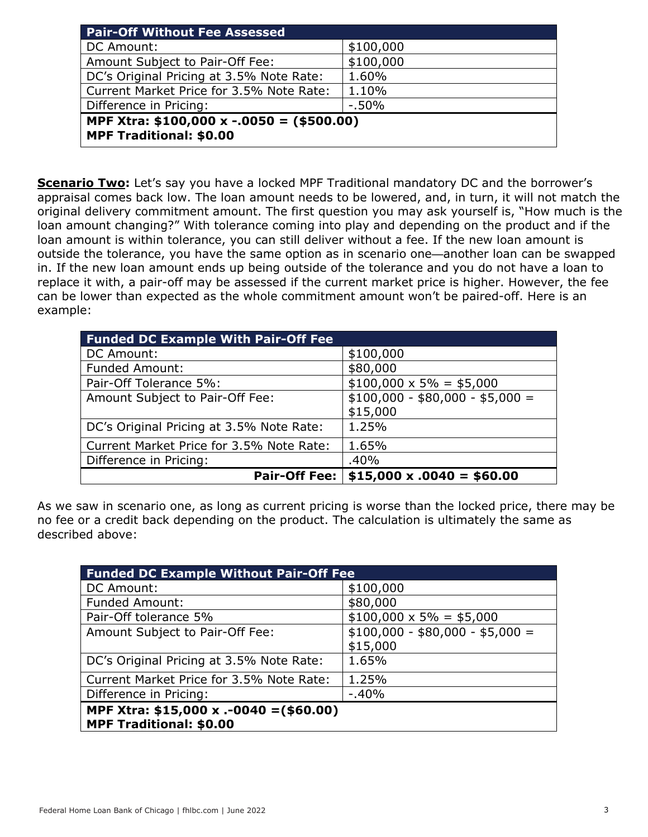| <b>Pair-Off Without Fee Assessed</b>                                          |           |  |  |  |
|-------------------------------------------------------------------------------|-----------|--|--|--|
| DC Amount:                                                                    | \$100,000 |  |  |  |
| Amount Subject to Pair-Off Fee:                                               | \$100,000 |  |  |  |
| DC's Original Pricing at 3.5% Note Rate:                                      | 1.60%     |  |  |  |
| Current Market Price for 3.5% Note Rate:                                      | 1.10%     |  |  |  |
| Difference in Pricing:                                                        | $-50%$    |  |  |  |
| MPF Xtra: \$100,000 x -.0050 = $ ($500.00)$<br><b>MPF Traditional: \$0.00</b> |           |  |  |  |

**Scenario Two:** Let's say you have a locked MPF Traditional mandatory DC and the borrower's appraisal comes back low. The loan amount needs to be lowered, and, in turn, it will not match the original delivery commitment amount. The first question you may ask yourself is, "How much is the loan amount changing?" With tolerance coming into play and depending on the product and if the loan amount is within tolerance, you can still deliver without a fee. If the new loan amount is outside the tolerance, you have the same option as in scenario one—another loan can be swapped in. If the new loan amount ends up being outside of the tolerance and you do not have a loan to replace it with, a pair-off may be assessed if the current market price is higher. However, the fee can be lower than expected as the whole commitment amount won't be paired-off. Here is an example:

| <b>Funded DC Example With Pair-Off Fee</b> |                                 |  |
|--------------------------------------------|---------------------------------|--|
| DC Amount:                                 | \$100,000                       |  |
| <b>Funded Amount:</b>                      | \$80,000                        |  |
| Pair-Off Tolerance 5%:                     | $$100,000 \times 5\% = $5,000$  |  |
| Amount Subject to Pair-Off Fee:            | $$100,000 - $80,000 - $5,000 =$ |  |
|                                            | \$15,000                        |  |
| DC's Original Pricing at 3.5% Note Rate:   | 1.25%                           |  |
| Current Market Price for 3.5% Note Rate:   | 1.65%                           |  |
| Difference in Pricing:                     | .40%                            |  |
| <b>Pair-Off Fee:</b>                       | $$15,000 \times .0040 = $60.00$ |  |

As we saw in scenario one, as long as current pricing is worse than the locked price, there may be no fee or a credit back depending on the product. The calculation is ultimately the same as described above:

| <b>Funded DC Example Without Pair-Off Fee</b> |                                 |  |  |  |
|-----------------------------------------------|---------------------------------|--|--|--|
| DC Amount:                                    | \$100,000                       |  |  |  |
| <b>Funded Amount:</b>                         | \$80,000                        |  |  |  |
| Pair-Off tolerance 5%                         | $$100,000 \times 5\% = $5,000$  |  |  |  |
| Amount Subject to Pair-Off Fee:               | $$100,000 - $80,000 - $5,000 =$ |  |  |  |
|                                               | \$15,000                        |  |  |  |
| DC's Original Pricing at 3.5% Note Rate:      | 1.65%                           |  |  |  |
| Current Market Price for 3.5% Note Rate:      | 1.25%                           |  |  |  |
| Difference in Pricing:                        | $-0.40%$                        |  |  |  |
| MPF Xtra: \$15,000 x .-0040 = (\$60.00)       |                                 |  |  |  |
| <b>MPF Traditional: \$0.00</b>                |                                 |  |  |  |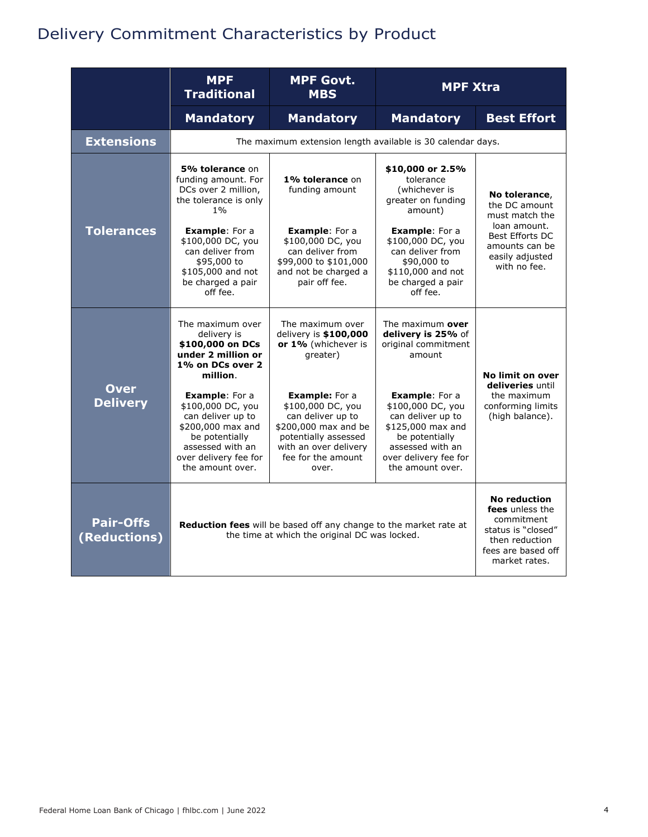# Delivery Commitment Characteristics by Product

|                                  | <b>MPF</b><br><b>Traditional</b>                                                                                                                                        | <b>MPF Govt.</b><br><b>MPF Xtra</b><br><b>MBS</b>                                                                                                                       |                                                                                                                                                                         |                                                                                                                                     |  |
|----------------------------------|-------------------------------------------------------------------------------------------------------------------------------------------------------------------------|-------------------------------------------------------------------------------------------------------------------------------------------------------------------------|-------------------------------------------------------------------------------------------------------------------------------------------------------------------------|-------------------------------------------------------------------------------------------------------------------------------------|--|
|                                  | <b>Mandatory</b>                                                                                                                                                        | <b>Mandatory</b>                                                                                                                                                        | <b>Mandatory</b>                                                                                                                                                        | <b>Best Effort</b>                                                                                                                  |  |
| <b>Extensions</b>                |                                                                                                                                                                         | The maximum extension length available is 30 calendar days.                                                                                                             |                                                                                                                                                                         |                                                                                                                                     |  |
|                                  | 5% tolerance on<br>funding amount. For<br>DCs over 2 million,<br>the tolerance is only<br>$1\%$                                                                         | 1% tolerance on<br>funding amount                                                                                                                                       | \$10,000 or 2.5%<br>tolerance<br>(whichever is<br>greater on funding<br>amount)                                                                                         | No tolerance,<br>the DC amount<br>must match the                                                                                    |  |
| <b>Tolerances</b>                | <b>Example:</b> For a<br>\$100,000 DC, you<br>can deliver from<br>\$95,000 to<br>\$105,000 and not<br>be charged a pair<br>off fee.                                     | <b>Example:</b> For a<br>\$100,000 DC, you<br>can deliver from<br>\$99,000 to \$101,000<br>and not be charged a<br>pair off fee.                                        | <b>Example:</b> For a<br>\$100,000 DC, you<br>can deliver from<br>\$90,000 to<br>\$110,000 and not<br>be charged a pair<br>off fee.                                     | loan amount.<br>Best Efforts DC<br>amounts can be<br>easily adjusted<br>with no fee.                                                |  |
|                                  | The maximum over<br>delivery is<br>\$100,000 on DCs<br>under 2 million or<br>1% on DCs over 2<br>million.                                                               | The maximum over<br>delivery is \$100,000<br>or 1% (whichever is<br>greater)                                                                                            | The maximum over<br>delivery is 25% of<br>original commitment<br>amount                                                                                                 | No limit on over<br>deliveries until                                                                                                |  |
| <b>Over</b><br><b>Delivery</b>   | <b>Example:</b> For a<br>\$100,000 DC, you<br>can deliver up to<br>\$200,000 max and<br>be potentially<br>assessed with an<br>over delivery fee for<br>the amount over. | <b>Example:</b> For a<br>\$100,000 DC, you<br>can deliver up to<br>\$200,000 max and be<br>potentially assessed<br>with an over delivery<br>fee for the amount<br>over. | <b>Example:</b> For a<br>\$100,000 DC, you<br>can deliver up to<br>\$125,000 max and<br>be potentially<br>assessed with an<br>over delivery fee for<br>the amount over. | the maximum<br>conforming limits<br>(high balance).                                                                                 |  |
| <b>Pair-Offs</b><br>(Reductions) | <b>Reduction fees</b> will be based off any change to the market rate at<br>the time at which the original DC was locked.                                               |                                                                                                                                                                         |                                                                                                                                                                         | <b>No reduction</b><br>fees unless the<br>commitment<br>status is "closed"<br>then reduction<br>fees are based off<br>market rates. |  |